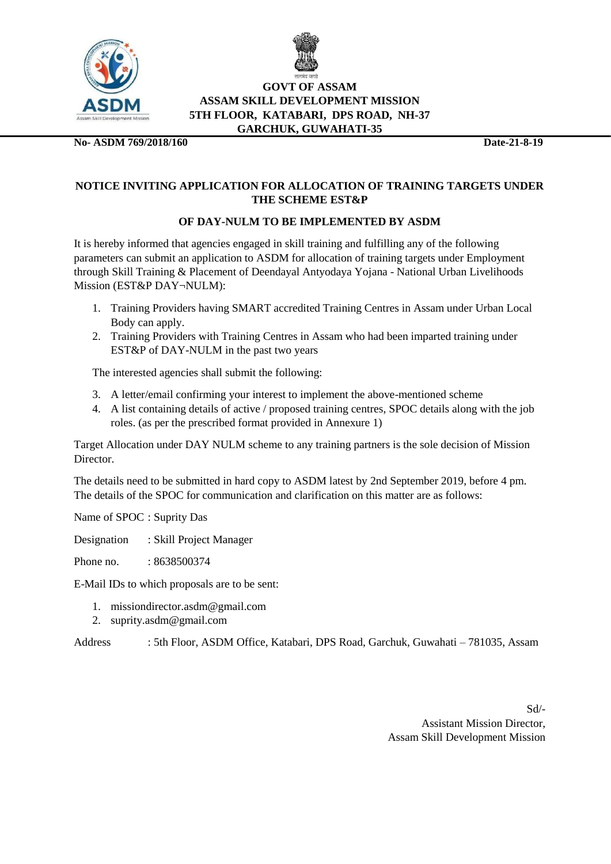



#### **GOVT OF ASSAM ASSAM SKILL DEVELOPMENT MISSION 5TH FLOOR, KATABARI, DPS ROAD, NH-37 GARCHUK, GUWAHATI-35**

**No- ASDM 769/2018/160 Date-21-8-19**

### **NOTICE INVITING APPLICATION FOR ALLOCATION OF TRAINING TARGETS UNDER THE SCHEME EST&P**

## **OF DAY-NULM TO BE IMPLEMENTED BY ASDM**

It is hereby informed that agencies engaged in skill training and fulfilling any of the following parameters can submit an application to ASDM for allocation of training targets under Employment through Skill Training & Placement of Deendayal Antyodaya Yojana - National Urban Livelihoods Mission (EST&P DAY¬NULM):

- 1. Training Providers having SMART accredited Training Centres in Assam under Urban Local Body can apply.
- 2. Training Providers with Training Centres in Assam who had been imparted training under EST&P of DAY-NULM in the past two years

The interested agencies shall submit the following:

- 3. A letter/email confirming your interest to implement the above-mentioned scheme
- 4. A list containing details of active / proposed training centres, SPOC details along with the job roles. (as per the prescribed format provided in Annexure 1)

Target Allocation under DAY NULM scheme to any training partners is the sole decision of Mission **Director** 

The details need to be submitted in hard copy to ASDM latest by 2nd September 2019, before 4 pm. The details of the SPOC for communication and clarification on this matter are as follows:

Name of SPOC : Suprity Das

Designation : Skill Project Manager

Phone no. : 8638500374

E-Mail IDs to which proposals are to be sent:

- 1. missiondirector.asdm@gmail.com
- 2. suprity.asdm@gmail.com

Address : 5th Floor, ASDM Office, Katabari, DPS Road, Garchuk, Guwahati – 781035, Assam

Sd/- Assistant Mission Director, Assam Skill Development Mission